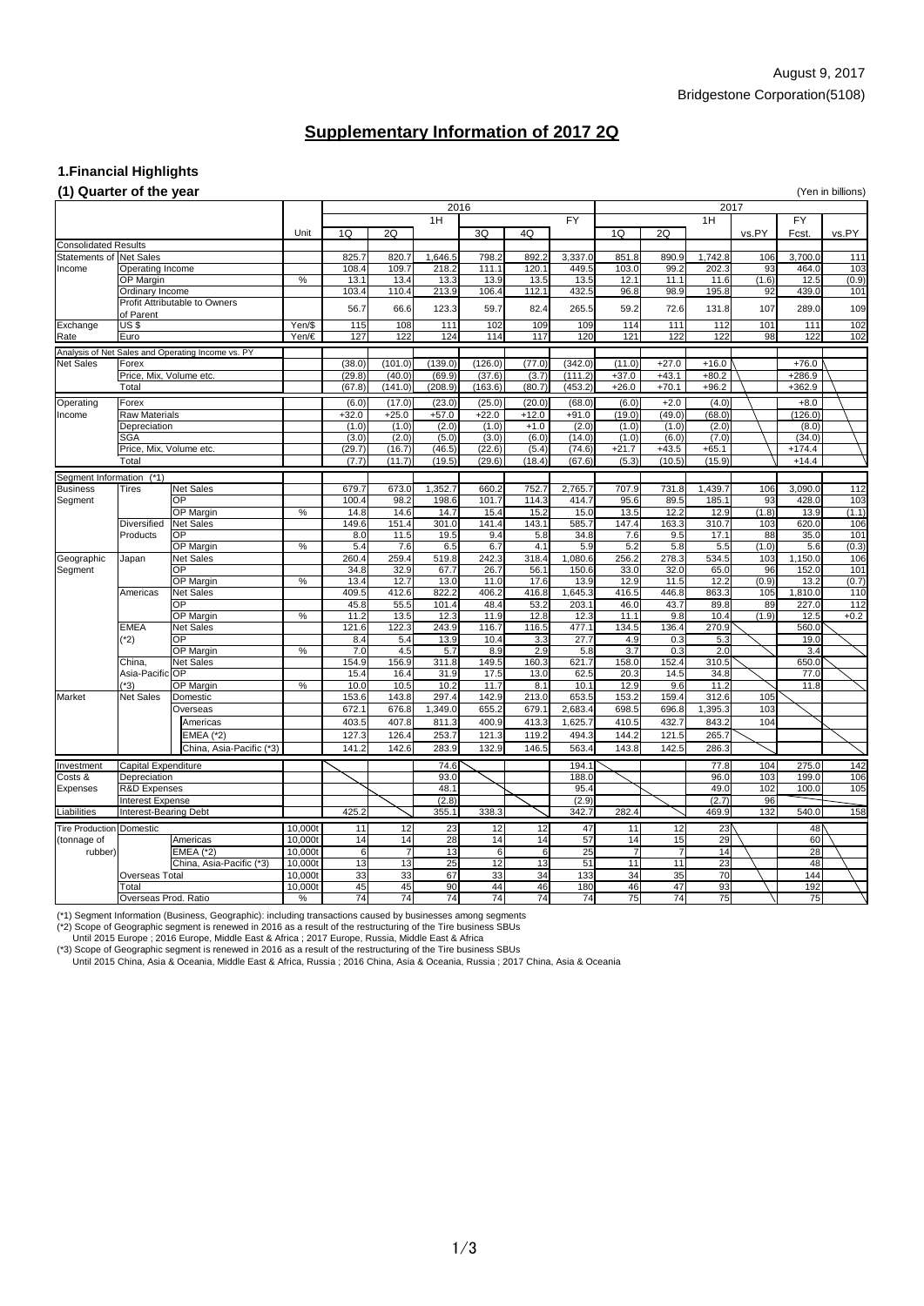## August 9, 2017 Bridgestone Corporation(5108)

## **1.Financial Highlights**

### **(1) Quarter of the year** (Yen in billions)

| $\mathbf{y}$ and $\mathbf{y}$ are $\mathbf{y}$ and $\mathbf{y}$ and $\mathbf{y}$ |                              | 2016                                              |         |         |         |                 |         | 2017    |                 |         |         |          |       |                 |                  |  |
|----------------------------------------------------------------------------------|------------------------------|---------------------------------------------------|---------|---------|---------|-----------------|---------|---------|-----------------|---------|---------|----------|-------|-----------------|------------------|--|
|                                                                                  |                              |                                                   |         |         |         |                 |         |         |                 |         |         |          |       |                 |                  |  |
|                                                                                  |                              |                                                   |         |         |         | 1H              |         |         | <b>FY</b>       |         |         | 1H       |       | <b>FY</b>       |                  |  |
|                                                                                  |                              |                                                   | Unit    | 1Q      | 2Q      |                 | 3Q      | 4Q      |                 | 1Q      | 2Q      |          | vs.PY | Fcst.           | vs.PY            |  |
| <b>Consolidated Results</b>                                                      |                              |                                                   |         |         |         |                 |         |         |                 |         |         |          |       |                 |                  |  |
| <b>Statements of Net Sales</b>                                                   |                              |                                                   |         | 825.7   | 820.7   | 1,646.5         | 798.2   | 892.2   | 3,337.0         | 851.8   | 890.9   | 1,742.8  | 106   | 3,700.0         | 111              |  |
| Income                                                                           | Operating Income             |                                                   |         | 108.4   | 109.7   | 218.2           | 111.1   | 120.1   | 449.5           | 103.0   | 99.2    | 202.3    | 93    | 464.0           | 103              |  |
|                                                                                  | <b>OP Margin</b>             |                                                   | $\%$    | 13.1    | 13.4    | 13.3            | 13.9    | 13.5    | 13.5            | 12.1    | 11.1    | 11.6     | (1.6) | 12.5            | (0.9)            |  |
|                                                                                  | Ordinary Income              |                                                   |         | 103.4   | 110.4   | 213.9           | 106.4   | 112.1   | 432.5           | 96.8    | 98.9    | 195.8    | 92    | 439.0           | 101              |  |
|                                                                                  |                              | <b>Profit Attributable to Owners</b>              |         | 56.7    | 66.6    | 123.3           | 59.7    | 82.4    | 265.5           | 59.2    | 72.6    | 131.8    | 107   | 289.0           | 109              |  |
|                                                                                  | of Parent                    |                                                   |         |         |         |                 |         |         |                 |         |         |          |       |                 |                  |  |
| Exchange                                                                         | US\$                         |                                                   | Yen/\$  | 115     | 108     | 111             | 102     | 109     | 109             | 114     | 111     | 112      | 101   | 111             | $\overline{102}$ |  |
| Rate                                                                             | Euro                         |                                                   | Yen/€   | 127     | 122     | 124             | 114     | 117     | 120             | 121     | 122     | 122      | 98    | 122             | 102              |  |
|                                                                                  |                              | Analysis of Net Sales and Operating Income vs. PY |         |         |         |                 |         |         |                 |         |         |          |       |                 |                  |  |
| <b>Net Sales</b>                                                                 | Forex                        |                                                   |         | (38.0)  | (101.0) | (139.0)         | (126.0) | (77.0)  | (342.0)         | (11.0)  | $+27.0$ | $+16.0$  |       | $+76.0$         |                  |  |
|                                                                                  | Price, Mix, Volume etc.      |                                                   |         | (29.8)  | (40.0)  | (69.9)          | (37.6)  | (3.7)   | (111.2)         | $+37.0$ | $+43.1$ | $+80.2$  |       | $+286.9$        |                  |  |
|                                                                                  | Total                        |                                                   |         | (67.8)  | (141.0) | (208.9)         | (163.6) | (80.7)  | (453.2)         | $+26.0$ | $+70.1$ | $+96.2$  |       | $+362.9$        |                  |  |
| Operating                                                                        | Forex                        |                                                   |         | (6.0)   | (17.0)  | (23.0)          | (25.0)  | (20.0)  | (68.0)          | (6.0)   | $+2.0$  | (4.0)    |       | $+8.0$          |                  |  |
| Income                                                                           | <b>Raw Materials</b>         |                                                   |         | $+32.0$ | $+25.0$ | $+57.0$         | $+22.0$ | $+12.0$ | $+91.0$         | (19.0)  | (49.0)  | (68.0)   |       | (126.0)         |                  |  |
|                                                                                  | Depreciation                 |                                                   |         | (1.0)   | (1.0)   | (2.0)           | (1.0)   | $+1.0$  | (2.0)           | (1.0)   | (1.0)   | (2.0)    |       | (8.0)           |                  |  |
|                                                                                  | <b>SGA</b>                   |                                                   |         | (3.0)   | (2.0)   | (5.0)           | (3.0)   | (6.0)   | (14.0)          | (1.0)   | (6.0)   | (7.0)    |       | (34.0)          |                  |  |
|                                                                                  | Price, Mix, Volume etc.      |                                                   |         | (29.7)  | (16.7)  | (46.5)          | (22.6)  | (5.4)   | (74.6)          | $+21.7$ | $+43.5$ | $+65.1$  |       | $+174.4$        |                  |  |
|                                                                                  | Total                        |                                                   |         | (7.7)   | (11.7)  | (19.5)          | (29.6)  | (18.4)  | (67.6)          | (5.3)   | (10.5)  | (15.9)   |       | $+14.4$         |                  |  |
|                                                                                  |                              |                                                   |         |         |         |                 |         |         |                 |         |         |          |       |                 |                  |  |
| Segment Information                                                              | $(*1)$                       |                                                   |         |         |         |                 |         |         |                 |         |         |          |       |                 |                  |  |
| <b>Business</b>                                                                  | <b>Tires</b>                 | Net Sales                                         |         | 679.7   | 673.0   | 1,352.7         | 660.2   | 752.7   | 2,765.7         | 707.9   | 731.8   | 1,439.7  | 106   | 3,090.0         | 112              |  |
| Segment                                                                          |                              | OP                                                |         | 100.4   | 98.2    | 198.6           | 101.7   | 114.3   | 414.7           | 95.6    | 89.5    | 185.1    | 93    | 428.0           | 103              |  |
|                                                                                  |                              | <b>OP Margin</b>                                  | $\%$    | 14.8    | 14.6    | 14.7            | 15.4    | 15.2    | 15.0            | 13.5    | 12.2    | 12.9     | (1.8) | 13.9            | (1.1)            |  |
|                                                                                  | <b>Diversified</b>           | <b>Net Sales</b>                                  |         | 149.6   | 151.4   | 301.0           | 141.4   | 143.1   | 585.7           | 147.4   | 163.3   | 310.7    | 103   | 620.0           | 106              |  |
|                                                                                  | <b>Products</b>              | <b>OP</b>                                         |         | 8.0     | 11.5    | 19.5            | 9.4     | 5.8     | 34.8            | 7.6     | 9.5     | 17.1     | 88    | 35.0            | 101              |  |
|                                                                                  |                              | <b>OP Margin</b>                                  | %       | 5.4     | 7.6     | 6.5             | 6.7     | 4.1     | 5.9             | 5.2     | 5.8     | 5.5      | (1.0) | 5.6             | (0.3)            |  |
| Geographic                                                                       | Japan                        | Net Sales                                         |         | 260.4   | 259.4   | 519.8           | 242.3   | 318.4   | 1,080.6         | 256.2   | 278.3   | 534.5    | 103   | 1,150.0         | 106              |  |
| Segment                                                                          |                              | OP                                                |         | 34.8    | 32.9    | 67.7            | 26.7    | 56.1    | 150.6           | 33.0    | 32.0    | 65.0     | 96    | 152.0           | 101              |  |
|                                                                                  |                              | <b>OP Margin</b>                                  | %       | 13.4    | 12.7    | 13.0            | 11.0    | 17.6    | 13.9            | 12.9    | 11.5    | 12.2     | (0.9) | 13.2            | (0.7)            |  |
|                                                                                  | Americas                     | Net Sales                                         |         | 409.5   | 412.6   | 822.2           | 406.2   | 416.8   | 1,645.3         | 416.5   | 446.8   | 863.3    | 105   | ,810.0          | 110              |  |
|                                                                                  |                              | <b>OP</b>                                         |         | 45.8    | 55.5    | 101.4           | 48.4    | 53.2    | 203.1           | 46.0    | 43.7    | 89.8     | 89    | 227.0           | 112              |  |
|                                                                                  |                              | <b>OP Margin</b>                                  | $\%$    | 11.2    | $13.5$  | 12.3            | 11.9    | 12.8    | 12.3            | 11.1    | 9.8     | 10.4     | (1.9) | 12.5            | $+0.2$           |  |
|                                                                                  | <b>EMEA</b><br>$(*2)$        | <b>Net Sales</b>                                  |         | 121.6   | 122.3   | 243.9           | 116.7   | 116.5   | 477.1           | 134.5   | 136.4   | 270.9    |       | 560.0           |                  |  |
|                                                                                  |                              | <b>OP</b>                                         |         | 8.4     | 5.4     | 13.9            | 10.4    | 3.3     | 27.7            | 4.9     | 0.3     | 5.3      |       | 19.0            |                  |  |
|                                                                                  |                              | <b>OP Margin</b>                                  | $\%$    | 7.0     | 4.5     | 5.7             | 8.9     | 2.9     | 5.8             | 3.7     | 0.3     | 2.0      |       | 3.4             |                  |  |
|                                                                                  | China,                       | Net Sales                                         |         | 154.9   | 156.9   | 311.8           | 149.5   | 160.3   | 621.7           | 158.0   | 152.4   | 310.5    |       | 650.0           |                  |  |
|                                                                                  | Asia-Pacific OP              |                                                   |         | 15.4    | 16.4    | 31.9            | 17.5    | 13.0    | 62.5            | 20.3    | 14.5    | 34.8     |       | 77.0            |                  |  |
|                                                                                  | $(*3)$                       | <b>OP Margin</b>                                  | %       | 10.0    | 10.5    | 10.2            | 11.7    | 8.1     | 10.1            | 12.9    | 9.6     | 11.2     |       | 11.8            |                  |  |
| <b>Market</b>                                                                    | Net Sales                    | Domestic                                          |         | 153.6   | 143.8   | 297.4           | 142.9   | 213.0   | 653.5           | 153.2   | 159.4   | 312.6    | 105   |                 |                  |  |
|                                                                                  |                              | Overseas                                          |         | 672.1   | 676.8   | 1,349.0         | 655.2   | 679.1   | 2,683.4         | 698.5   | 696.8   | 1,395.3  | 103   |                 |                  |  |
|                                                                                  |                              | Americas                                          |         | 403.5   | 407.8   | 811.3           | 400.9   | 413.3   | 1,625.7         | 410.5   | 432.7   | 843.2    | 104   |                 |                  |  |
|                                                                                  |                              | <b>EMEA</b> (*2)                                  |         | 127.3   | 126.4   | 253.7           | 121.3   | 119.2   | 494.3           | 144.2   | 121.5   | 265.7    |       |                 |                  |  |
|                                                                                  |                              | China, Asia-Pacific (*3)                          |         | 141.2   | 142.6   | 283.9           | 132.9   | 146.5   | 563.4           | 143.8   | 142.5   | 286.3    |       |                 |                  |  |
| Investment                                                                       | Capital Expenditure          |                                                   |         |         |         | 74.6            |         |         | 194.1           |         |         | 77.8     | 104   | 275.0           | $\overline{142}$ |  |
| Costs &                                                                          | Depreciation                 |                                                   |         |         |         | 93.0            |         |         | 188.0           |         |         | 96.0     | 103   | 199.0           | 106              |  |
| <b>Expenses</b>                                                                  | <b>R&amp;D Expenses</b>      |                                                   |         |         |         | 48.1            |         |         | 95.4            |         |         | 49.0     | 102   | 100.0           | 105              |  |
|                                                                                  | <b>Interest Expense</b>      |                                                   |         |         |         | (2.8)           |         |         | (2.9)           |         |         | (2.7)    | 96    |                 |                  |  |
| Liabilities                                                                      | <b>Interest-Bearing Debt</b> |                                                   |         | 425.2   |         | 355.1           | 338.3   |         | 342.7           | 282.4   |         | 469.9    | 132   | 540.0           | 158              |  |
| Tire Production Domestic                                                         |                              |                                                   |         |         |         |                 |         |         |                 |         |         |          |       |                 |                  |  |
|                                                                                  |                              |                                                   | 10,000t | 11      | 12      | 23              | 12      | 12      | 47              | 11      | 12      | 23       |       | 48 <sup>N</sup> |                  |  |
| (tonnage of                                                                      |                              | Americas                                          | 10,000t | 14      | 14      | $\overline{28}$ | 14      | 14      | 57              | 14      | 15      | 29<br>14 |       | 60              |                  |  |
| rubber)                                                                          |                              | <b>EMEA (*2)</b>                                  | 10,000t | 6       |         | $\overline{13}$ | 6       | 6       | $\overline{25}$ |         |         |          |       | 28              |                  |  |
|                                                                                  |                              | China, Asia-Pacific (*3)                          | 10,000t | 13      | 13      | 25              | 12      | 13      | 51              | 11      | 11      | 23       |       | 48              |                  |  |
|                                                                                  | <b>Overseas Total</b>        |                                                   | 10,000t | 33      | 33      | 67              | 33      | 34      | 133             | 34      | 35      | 70       |       | 144             |                  |  |
|                                                                                  | Total                        |                                                   | 10,000t | 45      | 45      | 90              | 44      | 46      | 180             | 46      | 47      | 93       |       | 192             |                  |  |
|                                                                                  | Overseas Prod. Ratio         |                                                   | %       | 74      | 74      | 74              | 74      | 74      | 74              | 75      | 74      | 75       |       | 75              |                  |  |

(\*1) Segment Information (Business, Geographic): including transactions caused by businesses among segments

(\*2) Scope of Geographic segment is renewed in 2016 as a result of the restructuring of the Tire business SBUs

Until 2015 Europe ; 2016 Europe, Middle East & Africa ; 2017 Europe, Russia, Middle East & Africa

(\*3) Scope of Geographic segment is renewed in 2016 as a result of the restructuring of the Tire business SBUs

Until 2015 China, Asia & Oceania, Middle East & Africa, Russia ; 2016 China, Asia & Oceania, Russia ; 2017 China, Asia & Oceania

# **Supplementary Information of 2017 2Q**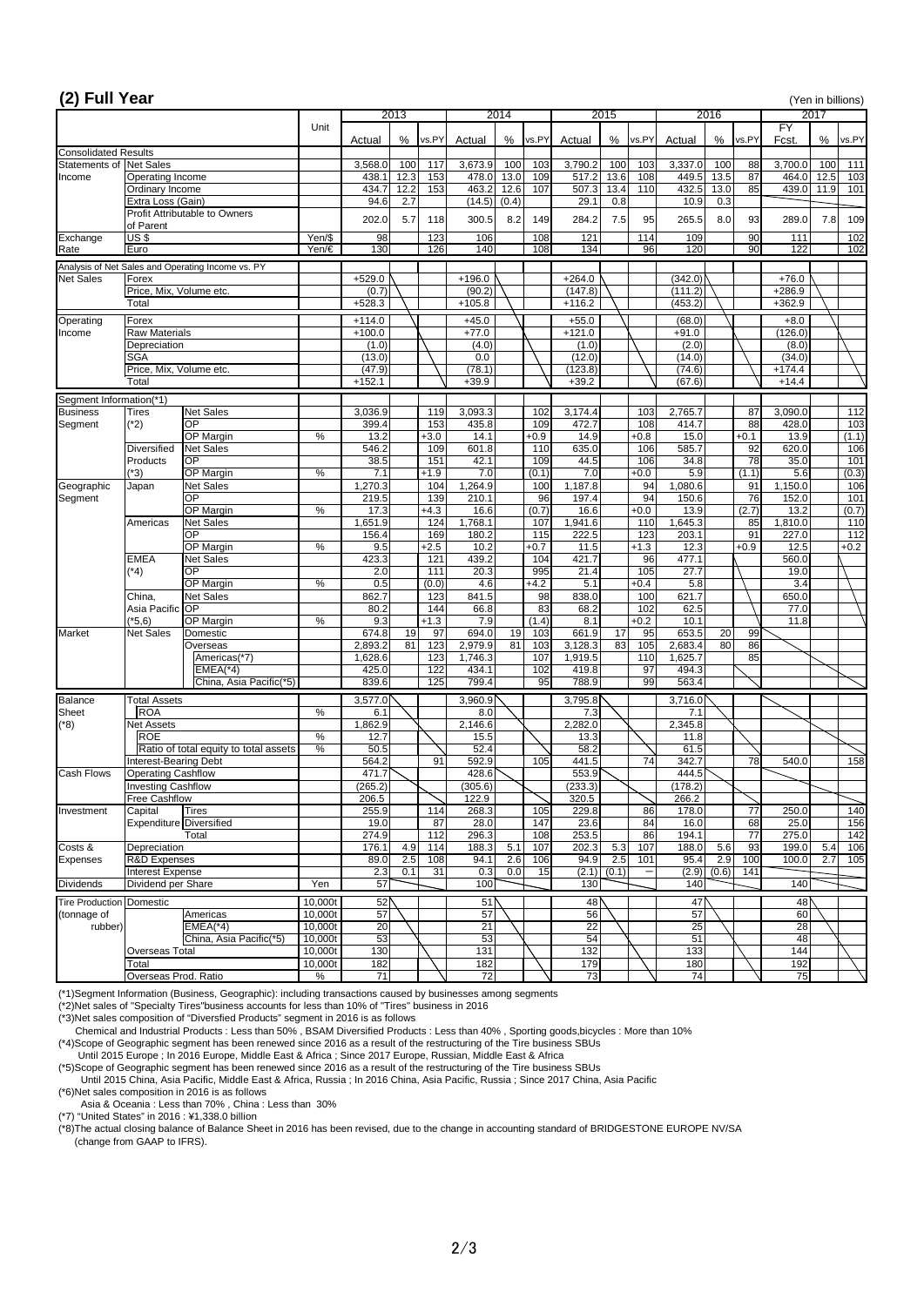| 2013<br>2014<br>2015<br>2016<br>2017<br>$\overline{FY}$<br>Unit<br>%<br>%<br>%<br>%<br>Fcst.<br>vs.PY<br>%<br>vs.PY<br>vs.PY<br>vs.PY<br>Actual<br>Actual<br>vs.PY<br>Actual<br>Actual<br><b>Consolidated Results</b><br>Statements of<br>Net Sales<br>100<br>3,673.9<br>100<br>3,790.2<br>100<br>3,700.0<br>111<br>3,568.0<br>117<br>103<br>103<br>3,337.0<br>100<br>88<br>100<br>12.3<br>13.6<br>13.5<br>87<br>153<br>13.0<br>109<br>517.2<br>108<br>449.5<br>464.0<br>12.5<br>103<br>438.1<br>478.0<br>Operating Income<br>85<br>13.4<br>12.2<br>153<br>463.2<br>110<br>13.0<br>12.6<br>107<br>432.5<br>439.0<br>101<br>Ordinary Income<br>434.7<br>507.3<br>11.9<br>0.3<br>94.6<br>2.7<br>(0.4)<br>10.9<br>Extra Loss (Gain)<br>(14.5)<br>29.1<br>0.8<br><b>Profit Attributable to Owners</b><br>8.2<br>202.0<br>5.7<br>300.5<br>149<br>284.2<br>7.5<br>95<br>265.5<br>8.0<br>93<br>289.0<br>7.8<br>118<br>109<br>of Parent<br>$US$ \$<br>Yen/\$<br>98<br>123<br>106<br>108<br>121<br>109<br>90<br>102<br>114<br>111<br>$\overline{90}$<br>130<br>126<br>140<br>134<br>120<br>Yen/€<br>108<br>96<br>122<br>102<br>Euro<br>Analysis of Net Sales and Operating Income vs. PY<br><b>Net Sales</b><br>(342.0)<br>Forex<br>$+529.0$<br>$+196.0$<br>$+264.0$<br>$+76.0$<br>(0.7)<br>(90.2)<br>(111.2)<br>$+286.9$<br>Price, Mix, Volume etc.<br>(147.8)<br>$+528.3$<br>(453.2)<br>$+105.8$<br>$+116.2$<br>$+362.9$<br>Total<br>Operating<br>$+114.0$<br>$+55.0$<br>(68.0)<br>Forex<br>$+45.0$<br>$+8.0$<br>$+91.0$<br><b>Raw Materials</b><br>$+100.0$<br>$+77.0$<br>$+121.0$<br>(126.0)<br>Income<br>Depreciation<br>(1.0)<br>(4.0)<br>(1.0)<br>(2.0)<br>(8.0)<br><b>SGA</b><br>(13.0)<br>(14.0)<br>(34.0)<br>0.0<br>(12.0)<br>(47.9)<br>(78.1)<br>(123.8)<br>(74.6)<br>$+174.4$<br>Price, Mix, Volume etc.<br>$+152.1$<br>$+39.9$<br>$+39.2$<br>(67.6)<br>Total<br>$+14.4$<br>Segment Information(*1)<br>3,093.3<br>3,174.4<br>3,090.0<br>$112$<br><b>Business</b><br><b>Net Sales</b><br>3,036.9<br>119<br>103<br>2,765.7<br>87<br>102<br>Tires<br><b>OP</b><br>88<br>$(*2)$<br>399.4<br>153<br>435.8<br>109<br>472.7<br>414.7<br>103<br>Segment<br>108<br>428.0<br>14.1<br>OP Margin<br>$\%$<br>13.2<br>14.9<br>$+0.8$<br>$+0.1$<br>13.9<br>(1.1)<br>$+3.0$<br>$+0.9$<br>15.0<br>546.2<br>601.8<br>635.0<br>585.7<br>92<br>106<br><b>Diversified</b><br><b>Net Sales</b><br>109<br>110<br>106<br>620.0<br>$\overline{78}$<br><b>OP</b><br>38.5<br>151<br>42.1<br>44.5<br>34.8<br>101<br>Products<br>109<br>106<br>35.0<br>7.1<br>7.0<br>7.0<br>5.9<br>(1.1)<br>$(*3)$<br>OP Margin<br>$\%$<br>$+1.9$<br>$+0.0$<br>5.6<br>(0.3)<br>(0.1)<br>,264.9<br>Geographic<br><b>Net Sales</b><br>1,270.3<br>1,187.8<br>94<br>1,080.6<br>91<br>1,150.0<br>106<br>104<br>100<br>Japan<br>76<br>101<br>139<br>96<br>94<br><b>OP</b><br>219.5<br>210.1<br>197.4<br>150.6<br>152.0<br>(2.7)<br>$\%$<br>17.3<br>(0.7)<br>13.2<br>(0.7)<br>OP Margin<br>$+4.3$<br>16.6<br>16.6<br>$+0.0$<br>13.9<br><b>Net Sales</b><br>1,651.9<br>1,768.1<br>1,941.6<br>110<br>107<br>110<br>1,645.3<br>85<br>1,810.0<br>Americas<br>124<br>156.4<br>169<br>180.2<br>91<br>112<br><b>OP</b><br>115<br>222.5<br>123<br>203.1<br>227.0<br>9.5<br>10.2<br>$+0.9$<br>$\%$<br>$+2.5$<br>$+0.7$<br>11.5<br>$+1.3$<br>12.3<br>12.5<br>OP Margin<br>$+0.2$<br>121<br><b>EMEA</b><br>423.3<br>439.2<br>104<br>421.7<br>96<br>477.1<br><b>Net Sales</b><br>560.0<br><b>OP</b><br>111<br>20.3<br>$(*4)$<br>2.0<br>995<br>21.4<br>105<br>27.7<br>19.0<br>$\%$<br>0.5<br>5.1<br>5.8<br>(0.0)<br>4.6<br>$+4.2$<br>3.4<br>OP Margin<br>$+0.4$<br>621.7<br>862.7<br>123<br>841.5<br>838.0<br>100<br>98<br>650.0<br>China,<br><b>Net Sales</b><br>144<br>83<br>102<br>62.5<br>Asia Pacific OP<br>80.2<br>66.8<br>68.2<br>77.0<br>$(*5,6)$<br>OP Margin<br>$\%$<br>9.3<br>7.9<br>8.1<br>$+0.2$<br>10.1<br>$+1.3$<br>(1.4)<br>11.8<br>674.8<br>694.0<br>661.9<br>17<br>653.5<br><b>Net Sales</b><br>19<br>97<br>19<br>95<br>20<br>99<br><b>Market</b><br>Domestic<br>103<br>81<br>86<br>123<br>83<br>80<br>81<br>2,979.9<br>103<br>3,128.3<br>105<br>2,683.4<br>2,893.2<br>Overseas<br>85<br>Americas(*7)<br>1,628.6<br>123<br>107<br>110<br>1,746.3<br>1,919.5<br>1,625.7<br>425.0<br>122<br>434.1<br>97<br>$EMEA(*4)$<br>102<br>419.8<br>494.3<br>839.6<br>125<br>563.4<br>799.4<br>95<br>788.9<br>99<br>China, Asia Pacific(*5)<br><b>Balance</b><br>3,577.0<br>3,960.9<br>Total Assets<br>3,795.8<br>3,716.0<br>ROA<br><b>Sheet</b><br>$\%$<br>6.1<br>8.0<br>7.3<br>7.1<br>1,862.9<br>2,282.0<br>2,345.8<br>$(*8)$<br>2,146.6<br><b>Net Assets</b><br><b>ROE</b><br>$\frac{1}{\sqrt{2}}$<br>12.7<br>15.5<br>13.3<br>11.8<br>$\%$<br>50.5<br>52.4<br>58.2<br>61.5<br>Ratio of total equity to total assets<br>592.9<br>441.5<br>342.7<br>564.2<br>91<br>105<br>74<br>78<br>158<br><b>Interest-Bearing Debt</b><br>540.0<br><b>Cash Flows</b><br>471.7<br>428.6<br><b>Operating Cashflow</b><br>553.9<br>444.5<br>(265.2)<br>(233.3)<br>(178.2)<br>(305.6)<br><b>Investing Cashflow</b><br>320.5<br>266.2<br>Free Cashflow<br>206.5<br>122.9<br>140<br><b>Tires</b><br>255.9<br>268.3<br>105<br>178.0<br>77<br>114<br>229.8<br>86<br>250.0<br>Capital<br>$\overline{87}$<br>$\overline{68}$<br>19.0<br>28.0<br>147<br>84<br>156<br><b>Expenditure Diversified</b><br>23.6<br>16.0<br>25.0<br>$\overline{77}$<br>$\frac{11}{2}$<br>296.3<br>86<br>274.9<br>253.5<br>142<br>108<br>194.1<br>275.0<br>Total<br>93<br>176.1<br>188.3<br>107<br>4.9<br>114<br>5.1<br>107<br>202.3<br>5.3<br>188.0<br>5.6<br>199.0<br>5.4<br>106<br>Depreciation<br>2.5<br>94.1<br>2.6<br>2.9<br>100<br>R&D Expenses<br>89.0<br>108<br>106<br>94.9<br>2.5<br>101<br>95.4<br>100.0<br>2.7<br>105<br>$\overline{31}$<br>0.0<br>15<br><b>Interest Expense</b><br>2.3<br>0.1<br>0.3<br>(2.1)<br>(0.1)<br>(2.9)<br>(0.6)<br>141<br><b>Dividends</b><br>57<br>Dividend per Share<br>Yen<br>100<br>130<br>140<br>140<br>52<br>51<br>48<br>47<br>48<br><b>Tire Production Domestic</b><br>10,000t<br>(tonnage of<br>Americas<br>10,000t<br>57<br>56<br>57<br>60<br>57<br>21<br>22<br>25<br>$EMEA(*4)$<br>10,000t<br>20<br>28<br>rubber)<br>53<br>53<br>China, Asia Pacific(*5)<br>10,000t<br>54<br>51<br>48<br>$131$<br>132<br>133<br>130<br>144<br>10,000t<br>Overseas Total<br>182<br>182<br>179<br>180<br>192<br>10,000t<br>Total<br>73<br>74<br>72<br>71<br>75<br>Overseas Prod. Ratio<br>$\%$ | (2) Full Year   |  |  |  |  |  |  |  |  |  | (Yen in billions) |
|------------------------------------------------------------------------------------------------------------------------------------------------------------------------------------------------------------------------------------------------------------------------------------------------------------------------------------------------------------------------------------------------------------------------------------------------------------------------------------------------------------------------------------------------------------------------------------------------------------------------------------------------------------------------------------------------------------------------------------------------------------------------------------------------------------------------------------------------------------------------------------------------------------------------------------------------------------------------------------------------------------------------------------------------------------------------------------------------------------------------------------------------------------------------------------------------------------------------------------------------------------------------------------------------------------------------------------------------------------------------------------------------------------------------------------------------------------------------------------------------------------------------------------------------------------------------------------------------------------------------------------------------------------------------------------------------------------------------------------------------------------------------------------------------------------------------------------------------------------------------------------------------------------------------------------------------------------------------------------------------------------------------------------------------------------------------------------------------------------------------------------------------------------------------------------------------------------------------------------------------------------------------------------------------------------------------------------------------------------------------------------------------------------------------------------------------------------------------------------------------------------------------------------------------------------------------------------------------------------------------------------------------------------------------------------------------------------------------------------------------------------------------------------------------------------------------------------------------------------------------------------------------------------------------------------------------------------------------------------------------------------------------------------------------------------------------------------------------------------------------------------------------------------------------------------------------------------------------------------------------------------------------------------------------------------------------------------------------------------------------------------------------------------------------------------------------------------------------------------------------------------------------------------------------------------------------------------------------------------------------------------------------------------------------------------------------------------------------------------------------------------------------------------------------------------------------------------------------------------------------------------------------------------------------------------------------------------------------------------------------------------------------------------------------------------------------------------------------------------------------------------------------------------------------------------------------------------------------------------------------------------------------------------------------------------------------------------------------------------------------------------------------------------------------------------------------------------------------------------------------------------------------------------------------------------------------------------------------------------------------------------------------------------------------------------------------------------------------------------------------------------------------------------------------------------------------------------------------------------------------------------------------------------------------------------------------------------------------------------------------------------------------------------------------------------------------------------------------------------------------------------------------------------------------------------------------------------------------------------------------------------------------------------------------------------------------------------------------------------------------------------------------------------------------------------------------------------------------------------------------------------------------------------------------------------------------------------------------------------------------------------------------------------------------------------------------------------------------------------------------------------------------------------------------------------------------------------------------------------------------------------------------------------------------------------------------------------------------------------------------------------------------------------------------------------------------------------------------------------------------------------------------------------------------------------------------------------------------------------------------------------------------------------------------------------------------------------------------------------------------------------------------------------------------|-----------------|--|--|--|--|--|--|--|--|--|-------------------|
|                                                                                                                                                                                                                                                                                                                                                                                                                                                                                                                                                                                                                                                                                                                                                                                                                                                                                                                                                                                                                                                                                                                                                                                                                                                                                                                                                                                                                                                                                                                                                                                                                                                                                                                                                                                                                                                                                                                                                                                                                                                                                                                                                                                                                                                                                                                                                                                                                                                                                                                                                                                                                                                                                                                                                                                                                                                                                                                                                                                                                                                                                                                                                                                                                                                                                                                                                                                                                                                                                                                                                                                                                                                                                                                                                                                                                                                                                                                                                                                                                                                                                                                                                                                                                                                                                                                                                                                                                                                                                                                                                                                                                                                                                                                                                                                                                                                                                                                                                                                                                                                                                                                                                                                                                                                                                                                                                                                                                                                                                                                                                                                                                                                                                                                                                                                                                                                                                                                                                                                                                                                                                                                                                                                                                                                                                                                                                                                                                        |                 |  |  |  |  |  |  |  |  |  |                   |
|                                                                                                                                                                                                                                                                                                                                                                                                                                                                                                                                                                                                                                                                                                                                                                                                                                                                                                                                                                                                                                                                                                                                                                                                                                                                                                                                                                                                                                                                                                                                                                                                                                                                                                                                                                                                                                                                                                                                                                                                                                                                                                                                                                                                                                                                                                                                                                                                                                                                                                                                                                                                                                                                                                                                                                                                                                                                                                                                                                                                                                                                                                                                                                                                                                                                                                                                                                                                                                                                                                                                                                                                                                                                                                                                                                                                                                                                                                                                                                                                                                                                                                                                                                                                                                                                                                                                                                                                                                                                                                                                                                                                                                                                                                                                                                                                                                                                                                                                                                                                                                                                                                                                                                                                                                                                                                                                                                                                                                                                                                                                                                                                                                                                                                                                                                                                                                                                                                                                                                                                                                                                                                                                                                                                                                                                                                                                                                                                                        |                 |  |  |  |  |  |  |  |  |  |                   |
|                                                                                                                                                                                                                                                                                                                                                                                                                                                                                                                                                                                                                                                                                                                                                                                                                                                                                                                                                                                                                                                                                                                                                                                                                                                                                                                                                                                                                                                                                                                                                                                                                                                                                                                                                                                                                                                                                                                                                                                                                                                                                                                                                                                                                                                                                                                                                                                                                                                                                                                                                                                                                                                                                                                                                                                                                                                                                                                                                                                                                                                                                                                                                                                                                                                                                                                                                                                                                                                                                                                                                                                                                                                                                                                                                                                                                                                                                                                                                                                                                                                                                                                                                                                                                                                                                                                                                                                                                                                                                                                                                                                                                                                                                                                                                                                                                                                                                                                                                                                                                                                                                                                                                                                                                                                                                                                                                                                                                                                                                                                                                                                                                                                                                                                                                                                                                                                                                                                                                                                                                                                                                                                                                                                                                                                                                                                                                                                                                        |                 |  |  |  |  |  |  |  |  |  |                   |
|                                                                                                                                                                                                                                                                                                                                                                                                                                                                                                                                                                                                                                                                                                                                                                                                                                                                                                                                                                                                                                                                                                                                                                                                                                                                                                                                                                                                                                                                                                                                                                                                                                                                                                                                                                                                                                                                                                                                                                                                                                                                                                                                                                                                                                                                                                                                                                                                                                                                                                                                                                                                                                                                                                                                                                                                                                                                                                                                                                                                                                                                                                                                                                                                                                                                                                                                                                                                                                                                                                                                                                                                                                                                                                                                                                                                                                                                                                                                                                                                                                                                                                                                                                                                                                                                                                                                                                                                                                                                                                                                                                                                                                                                                                                                                                                                                                                                                                                                                                                                                                                                                                                                                                                                                                                                                                                                                                                                                                                                                                                                                                                                                                                                                                                                                                                                                                                                                                                                                                                                                                                                                                                                                                                                                                                                                                                                                                                                                        | Income          |  |  |  |  |  |  |  |  |  |                   |
|                                                                                                                                                                                                                                                                                                                                                                                                                                                                                                                                                                                                                                                                                                                                                                                                                                                                                                                                                                                                                                                                                                                                                                                                                                                                                                                                                                                                                                                                                                                                                                                                                                                                                                                                                                                                                                                                                                                                                                                                                                                                                                                                                                                                                                                                                                                                                                                                                                                                                                                                                                                                                                                                                                                                                                                                                                                                                                                                                                                                                                                                                                                                                                                                                                                                                                                                                                                                                                                                                                                                                                                                                                                                                                                                                                                                                                                                                                                                                                                                                                                                                                                                                                                                                                                                                                                                                                                                                                                                                                                                                                                                                                                                                                                                                                                                                                                                                                                                                                                                                                                                                                                                                                                                                                                                                                                                                                                                                                                                                                                                                                                                                                                                                                                                                                                                                                                                                                                                                                                                                                                                                                                                                                                                                                                                                                                                                                                                                        |                 |  |  |  |  |  |  |  |  |  |                   |
|                                                                                                                                                                                                                                                                                                                                                                                                                                                                                                                                                                                                                                                                                                                                                                                                                                                                                                                                                                                                                                                                                                                                                                                                                                                                                                                                                                                                                                                                                                                                                                                                                                                                                                                                                                                                                                                                                                                                                                                                                                                                                                                                                                                                                                                                                                                                                                                                                                                                                                                                                                                                                                                                                                                                                                                                                                                                                                                                                                                                                                                                                                                                                                                                                                                                                                                                                                                                                                                                                                                                                                                                                                                                                                                                                                                                                                                                                                                                                                                                                                                                                                                                                                                                                                                                                                                                                                                                                                                                                                                                                                                                                                                                                                                                                                                                                                                                                                                                                                                                                                                                                                                                                                                                                                                                                                                                                                                                                                                                                                                                                                                                                                                                                                                                                                                                                                                                                                                                                                                                                                                                                                                                                                                                                                                                                                                                                                                                                        |                 |  |  |  |  |  |  |  |  |  |                   |
|                                                                                                                                                                                                                                                                                                                                                                                                                                                                                                                                                                                                                                                                                                                                                                                                                                                                                                                                                                                                                                                                                                                                                                                                                                                                                                                                                                                                                                                                                                                                                                                                                                                                                                                                                                                                                                                                                                                                                                                                                                                                                                                                                                                                                                                                                                                                                                                                                                                                                                                                                                                                                                                                                                                                                                                                                                                                                                                                                                                                                                                                                                                                                                                                                                                                                                                                                                                                                                                                                                                                                                                                                                                                                                                                                                                                                                                                                                                                                                                                                                                                                                                                                                                                                                                                                                                                                                                                                                                                                                                                                                                                                                                                                                                                                                                                                                                                                                                                                                                                                                                                                                                                                                                                                                                                                                                                                                                                                                                                                                                                                                                                                                                                                                                                                                                                                                                                                                                                                                                                                                                                                                                                                                                                                                                                                                                                                                                                                        |                 |  |  |  |  |  |  |  |  |  |                   |
|                                                                                                                                                                                                                                                                                                                                                                                                                                                                                                                                                                                                                                                                                                                                                                                                                                                                                                                                                                                                                                                                                                                                                                                                                                                                                                                                                                                                                                                                                                                                                                                                                                                                                                                                                                                                                                                                                                                                                                                                                                                                                                                                                                                                                                                                                                                                                                                                                                                                                                                                                                                                                                                                                                                                                                                                                                                                                                                                                                                                                                                                                                                                                                                                                                                                                                                                                                                                                                                                                                                                                                                                                                                                                                                                                                                                                                                                                                                                                                                                                                                                                                                                                                                                                                                                                                                                                                                                                                                                                                                                                                                                                                                                                                                                                                                                                                                                                                                                                                                                                                                                                                                                                                                                                                                                                                                                                                                                                                                                                                                                                                                                                                                                                                                                                                                                                                                                                                                                                                                                                                                                                                                                                                                                                                                                                                                                                                                                                        | Exchange        |  |  |  |  |  |  |  |  |  |                   |
|                                                                                                                                                                                                                                                                                                                                                                                                                                                                                                                                                                                                                                                                                                                                                                                                                                                                                                                                                                                                                                                                                                                                                                                                                                                                                                                                                                                                                                                                                                                                                                                                                                                                                                                                                                                                                                                                                                                                                                                                                                                                                                                                                                                                                                                                                                                                                                                                                                                                                                                                                                                                                                                                                                                                                                                                                                                                                                                                                                                                                                                                                                                                                                                                                                                                                                                                                                                                                                                                                                                                                                                                                                                                                                                                                                                                                                                                                                                                                                                                                                                                                                                                                                                                                                                                                                                                                                                                                                                                                                                                                                                                                                                                                                                                                                                                                                                                                                                                                                                                                                                                                                                                                                                                                                                                                                                                                                                                                                                                                                                                                                                                                                                                                                                                                                                                                                                                                                                                                                                                                                                                                                                                                                                                                                                                                                                                                                                                                        | Rate            |  |  |  |  |  |  |  |  |  |                   |
|                                                                                                                                                                                                                                                                                                                                                                                                                                                                                                                                                                                                                                                                                                                                                                                                                                                                                                                                                                                                                                                                                                                                                                                                                                                                                                                                                                                                                                                                                                                                                                                                                                                                                                                                                                                                                                                                                                                                                                                                                                                                                                                                                                                                                                                                                                                                                                                                                                                                                                                                                                                                                                                                                                                                                                                                                                                                                                                                                                                                                                                                                                                                                                                                                                                                                                                                                                                                                                                                                                                                                                                                                                                                                                                                                                                                                                                                                                                                                                                                                                                                                                                                                                                                                                                                                                                                                                                                                                                                                                                                                                                                                                                                                                                                                                                                                                                                                                                                                                                                                                                                                                                                                                                                                                                                                                                                                                                                                                                                                                                                                                                                                                                                                                                                                                                                                                                                                                                                                                                                                                                                                                                                                                                                                                                                                                                                                                                                                        |                 |  |  |  |  |  |  |  |  |  |                   |
|                                                                                                                                                                                                                                                                                                                                                                                                                                                                                                                                                                                                                                                                                                                                                                                                                                                                                                                                                                                                                                                                                                                                                                                                                                                                                                                                                                                                                                                                                                                                                                                                                                                                                                                                                                                                                                                                                                                                                                                                                                                                                                                                                                                                                                                                                                                                                                                                                                                                                                                                                                                                                                                                                                                                                                                                                                                                                                                                                                                                                                                                                                                                                                                                                                                                                                                                                                                                                                                                                                                                                                                                                                                                                                                                                                                                                                                                                                                                                                                                                                                                                                                                                                                                                                                                                                                                                                                                                                                                                                                                                                                                                                                                                                                                                                                                                                                                                                                                                                                                                                                                                                                                                                                                                                                                                                                                                                                                                                                                                                                                                                                                                                                                                                                                                                                                                                                                                                                                                                                                                                                                                                                                                                                                                                                                                                                                                                                                                        |                 |  |  |  |  |  |  |  |  |  |                   |
|                                                                                                                                                                                                                                                                                                                                                                                                                                                                                                                                                                                                                                                                                                                                                                                                                                                                                                                                                                                                                                                                                                                                                                                                                                                                                                                                                                                                                                                                                                                                                                                                                                                                                                                                                                                                                                                                                                                                                                                                                                                                                                                                                                                                                                                                                                                                                                                                                                                                                                                                                                                                                                                                                                                                                                                                                                                                                                                                                                                                                                                                                                                                                                                                                                                                                                                                                                                                                                                                                                                                                                                                                                                                                                                                                                                                                                                                                                                                                                                                                                                                                                                                                                                                                                                                                                                                                                                                                                                                                                                                                                                                                                                                                                                                                                                                                                                                                                                                                                                                                                                                                                                                                                                                                                                                                                                                                                                                                                                                                                                                                                                                                                                                                                                                                                                                                                                                                                                                                                                                                                                                                                                                                                                                                                                                                                                                                                                                                        |                 |  |  |  |  |  |  |  |  |  |                   |
|                                                                                                                                                                                                                                                                                                                                                                                                                                                                                                                                                                                                                                                                                                                                                                                                                                                                                                                                                                                                                                                                                                                                                                                                                                                                                                                                                                                                                                                                                                                                                                                                                                                                                                                                                                                                                                                                                                                                                                                                                                                                                                                                                                                                                                                                                                                                                                                                                                                                                                                                                                                                                                                                                                                                                                                                                                                                                                                                                                                                                                                                                                                                                                                                                                                                                                                                                                                                                                                                                                                                                                                                                                                                                                                                                                                                                                                                                                                                                                                                                                                                                                                                                                                                                                                                                                                                                                                                                                                                                                                                                                                                                                                                                                                                                                                                                                                                                                                                                                                                                                                                                                                                                                                                                                                                                                                                                                                                                                                                                                                                                                                                                                                                                                                                                                                                                                                                                                                                                                                                                                                                                                                                                                                                                                                                                                                                                                                                                        |                 |  |  |  |  |  |  |  |  |  |                   |
|                                                                                                                                                                                                                                                                                                                                                                                                                                                                                                                                                                                                                                                                                                                                                                                                                                                                                                                                                                                                                                                                                                                                                                                                                                                                                                                                                                                                                                                                                                                                                                                                                                                                                                                                                                                                                                                                                                                                                                                                                                                                                                                                                                                                                                                                                                                                                                                                                                                                                                                                                                                                                                                                                                                                                                                                                                                                                                                                                                                                                                                                                                                                                                                                                                                                                                                                                                                                                                                                                                                                                                                                                                                                                                                                                                                                                                                                                                                                                                                                                                                                                                                                                                                                                                                                                                                                                                                                                                                                                                                                                                                                                                                                                                                                                                                                                                                                                                                                                                                                                                                                                                                                                                                                                                                                                                                                                                                                                                                                                                                                                                                                                                                                                                                                                                                                                                                                                                                                                                                                                                                                                                                                                                                                                                                                                                                                                                                                                        |                 |  |  |  |  |  |  |  |  |  |                   |
|                                                                                                                                                                                                                                                                                                                                                                                                                                                                                                                                                                                                                                                                                                                                                                                                                                                                                                                                                                                                                                                                                                                                                                                                                                                                                                                                                                                                                                                                                                                                                                                                                                                                                                                                                                                                                                                                                                                                                                                                                                                                                                                                                                                                                                                                                                                                                                                                                                                                                                                                                                                                                                                                                                                                                                                                                                                                                                                                                                                                                                                                                                                                                                                                                                                                                                                                                                                                                                                                                                                                                                                                                                                                                                                                                                                                                                                                                                                                                                                                                                                                                                                                                                                                                                                                                                                                                                                                                                                                                                                                                                                                                                                                                                                                                                                                                                                                                                                                                                                                                                                                                                                                                                                                                                                                                                                                                                                                                                                                                                                                                                                                                                                                                                                                                                                                                                                                                                                                                                                                                                                                                                                                                                                                                                                                                                                                                                                                                        |                 |  |  |  |  |  |  |  |  |  |                   |
|                                                                                                                                                                                                                                                                                                                                                                                                                                                                                                                                                                                                                                                                                                                                                                                                                                                                                                                                                                                                                                                                                                                                                                                                                                                                                                                                                                                                                                                                                                                                                                                                                                                                                                                                                                                                                                                                                                                                                                                                                                                                                                                                                                                                                                                                                                                                                                                                                                                                                                                                                                                                                                                                                                                                                                                                                                                                                                                                                                                                                                                                                                                                                                                                                                                                                                                                                                                                                                                                                                                                                                                                                                                                                                                                                                                                                                                                                                                                                                                                                                                                                                                                                                                                                                                                                                                                                                                                                                                                                                                                                                                                                                                                                                                                                                                                                                                                                                                                                                                                                                                                                                                                                                                                                                                                                                                                                                                                                                                                                                                                                                                                                                                                                                                                                                                                                                                                                                                                                                                                                                                                                                                                                                                                                                                                                                                                                                                                                        |                 |  |  |  |  |  |  |  |  |  |                   |
|                                                                                                                                                                                                                                                                                                                                                                                                                                                                                                                                                                                                                                                                                                                                                                                                                                                                                                                                                                                                                                                                                                                                                                                                                                                                                                                                                                                                                                                                                                                                                                                                                                                                                                                                                                                                                                                                                                                                                                                                                                                                                                                                                                                                                                                                                                                                                                                                                                                                                                                                                                                                                                                                                                                                                                                                                                                                                                                                                                                                                                                                                                                                                                                                                                                                                                                                                                                                                                                                                                                                                                                                                                                                                                                                                                                                                                                                                                                                                                                                                                                                                                                                                                                                                                                                                                                                                                                                                                                                                                                                                                                                                                                                                                                                                                                                                                                                                                                                                                                                                                                                                                                                                                                                                                                                                                                                                                                                                                                                                                                                                                                                                                                                                                                                                                                                                                                                                                                                                                                                                                                                                                                                                                                                                                                                                                                                                                                                                        |                 |  |  |  |  |  |  |  |  |  |                   |
|                                                                                                                                                                                                                                                                                                                                                                                                                                                                                                                                                                                                                                                                                                                                                                                                                                                                                                                                                                                                                                                                                                                                                                                                                                                                                                                                                                                                                                                                                                                                                                                                                                                                                                                                                                                                                                                                                                                                                                                                                                                                                                                                                                                                                                                                                                                                                                                                                                                                                                                                                                                                                                                                                                                                                                                                                                                                                                                                                                                                                                                                                                                                                                                                                                                                                                                                                                                                                                                                                                                                                                                                                                                                                                                                                                                                                                                                                                                                                                                                                                                                                                                                                                                                                                                                                                                                                                                                                                                                                                                                                                                                                                                                                                                                                                                                                                                                                                                                                                                                                                                                                                                                                                                                                                                                                                                                                                                                                                                                                                                                                                                                                                                                                                                                                                                                                                                                                                                                                                                                                                                                                                                                                                                                                                                                                                                                                                                                                        |                 |  |  |  |  |  |  |  |  |  |                   |
|                                                                                                                                                                                                                                                                                                                                                                                                                                                                                                                                                                                                                                                                                                                                                                                                                                                                                                                                                                                                                                                                                                                                                                                                                                                                                                                                                                                                                                                                                                                                                                                                                                                                                                                                                                                                                                                                                                                                                                                                                                                                                                                                                                                                                                                                                                                                                                                                                                                                                                                                                                                                                                                                                                                                                                                                                                                                                                                                                                                                                                                                                                                                                                                                                                                                                                                                                                                                                                                                                                                                                                                                                                                                                                                                                                                                                                                                                                                                                                                                                                                                                                                                                                                                                                                                                                                                                                                                                                                                                                                                                                                                                                                                                                                                                                                                                                                                                                                                                                                                                                                                                                                                                                                                                                                                                                                                                                                                                                                                                                                                                                                                                                                                                                                                                                                                                                                                                                                                                                                                                                                                                                                                                                                                                                                                                                                                                                                                                        |                 |  |  |  |  |  |  |  |  |  |                   |
|                                                                                                                                                                                                                                                                                                                                                                                                                                                                                                                                                                                                                                                                                                                                                                                                                                                                                                                                                                                                                                                                                                                                                                                                                                                                                                                                                                                                                                                                                                                                                                                                                                                                                                                                                                                                                                                                                                                                                                                                                                                                                                                                                                                                                                                                                                                                                                                                                                                                                                                                                                                                                                                                                                                                                                                                                                                                                                                                                                                                                                                                                                                                                                                                                                                                                                                                                                                                                                                                                                                                                                                                                                                                                                                                                                                                                                                                                                                                                                                                                                                                                                                                                                                                                                                                                                                                                                                                                                                                                                                                                                                                                                                                                                                                                                                                                                                                                                                                                                                                                                                                                                                                                                                                                                                                                                                                                                                                                                                                                                                                                                                                                                                                                                                                                                                                                                                                                                                                                                                                                                                                                                                                                                                                                                                                                                                                                                                                                        |                 |  |  |  |  |  |  |  |  |  |                   |
|                                                                                                                                                                                                                                                                                                                                                                                                                                                                                                                                                                                                                                                                                                                                                                                                                                                                                                                                                                                                                                                                                                                                                                                                                                                                                                                                                                                                                                                                                                                                                                                                                                                                                                                                                                                                                                                                                                                                                                                                                                                                                                                                                                                                                                                                                                                                                                                                                                                                                                                                                                                                                                                                                                                                                                                                                                                                                                                                                                                                                                                                                                                                                                                                                                                                                                                                                                                                                                                                                                                                                                                                                                                                                                                                                                                                                                                                                                                                                                                                                                                                                                                                                                                                                                                                                                                                                                                                                                                                                                                                                                                                                                                                                                                                                                                                                                                                                                                                                                                                                                                                                                                                                                                                                                                                                                                                                                                                                                                                                                                                                                                                                                                                                                                                                                                                                                                                                                                                                                                                                                                                                                                                                                                                                                                                                                                                                                                                                        |                 |  |  |  |  |  |  |  |  |  |                   |
|                                                                                                                                                                                                                                                                                                                                                                                                                                                                                                                                                                                                                                                                                                                                                                                                                                                                                                                                                                                                                                                                                                                                                                                                                                                                                                                                                                                                                                                                                                                                                                                                                                                                                                                                                                                                                                                                                                                                                                                                                                                                                                                                                                                                                                                                                                                                                                                                                                                                                                                                                                                                                                                                                                                                                                                                                                                                                                                                                                                                                                                                                                                                                                                                                                                                                                                                                                                                                                                                                                                                                                                                                                                                                                                                                                                                                                                                                                                                                                                                                                                                                                                                                                                                                                                                                                                                                                                                                                                                                                                                                                                                                                                                                                                                                                                                                                                                                                                                                                                                                                                                                                                                                                                                                                                                                                                                                                                                                                                                                                                                                                                                                                                                                                                                                                                                                                                                                                                                                                                                                                                                                                                                                                                                                                                                                                                                                                                                                        |                 |  |  |  |  |  |  |  |  |  |                   |
|                                                                                                                                                                                                                                                                                                                                                                                                                                                                                                                                                                                                                                                                                                                                                                                                                                                                                                                                                                                                                                                                                                                                                                                                                                                                                                                                                                                                                                                                                                                                                                                                                                                                                                                                                                                                                                                                                                                                                                                                                                                                                                                                                                                                                                                                                                                                                                                                                                                                                                                                                                                                                                                                                                                                                                                                                                                                                                                                                                                                                                                                                                                                                                                                                                                                                                                                                                                                                                                                                                                                                                                                                                                                                                                                                                                                                                                                                                                                                                                                                                                                                                                                                                                                                                                                                                                                                                                                                                                                                                                                                                                                                                                                                                                                                                                                                                                                                                                                                                                                                                                                                                                                                                                                                                                                                                                                                                                                                                                                                                                                                                                                                                                                                                                                                                                                                                                                                                                                                                                                                                                                                                                                                                                                                                                                                                                                                                                                                        |                 |  |  |  |  |  |  |  |  |  |                   |
|                                                                                                                                                                                                                                                                                                                                                                                                                                                                                                                                                                                                                                                                                                                                                                                                                                                                                                                                                                                                                                                                                                                                                                                                                                                                                                                                                                                                                                                                                                                                                                                                                                                                                                                                                                                                                                                                                                                                                                                                                                                                                                                                                                                                                                                                                                                                                                                                                                                                                                                                                                                                                                                                                                                                                                                                                                                                                                                                                                                                                                                                                                                                                                                                                                                                                                                                                                                                                                                                                                                                                                                                                                                                                                                                                                                                                                                                                                                                                                                                                                                                                                                                                                                                                                                                                                                                                                                                                                                                                                                                                                                                                                                                                                                                                                                                                                                                                                                                                                                                                                                                                                                                                                                                                                                                                                                                                                                                                                                                                                                                                                                                                                                                                                                                                                                                                                                                                                                                                                                                                                                                                                                                                                                                                                                                                                                                                                                                                        |                 |  |  |  |  |  |  |  |  |  |                   |
|                                                                                                                                                                                                                                                                                                                                                                                                                                                                                                                                                                                                                                                                                                                                                                                                                                                                                                                                                                                                                                                                                                                                                                                                                                                                                                                                                                                                                                                                                                                                                                                                                                                                                                                                                                                                                                                                                                                                                                                                                                                                                                                                                                                                                                                                                                                                                                                                                                                                                                                                                                                                                                                                                                                                                                                                                                                                                                                                                                                                                                                                                                                                                                                                                                                                                                                                                                                                                                                                                                                                                                                                                                                                                                                                                                                                                                                                                                                                                                                                                                                                                                                                                                                                                                                                                                                                                                                                                                                                                                                                                                                                                                                                                                                                                                                                                                                                                                                                                                                                                                                                                                                                                                                                                                                                                                                                                                                                                                                                                                                                                                                                                                                                                                                                                                                                                                                                                                                                                                                                                                                                                                                                                                                                                                                                                                                                                                                                                        | Segment         |  |  |  |  |  |  |  |  |  |                   |
|                                                                                                                                                                                                                                                                                                                                                                                                                                                                                                                                                                                                                                                                                                                                                                                                                                                                                                                                                                                                                                                                                                                                                                                                                                                                                                                                                                                                                                                                                                                                                                                                                                                                                                                                                                                                                                                                                                                                                                                                                                                                                                                                                                                                                                                                                                                                                                                                                                                                                                                                                                                                                                                                                                                                                                                                                                                                                                                                                                                                                                                                                                                                                                                                                                                                                                                                                                                                                                                                                                                                                                                                                                                                                                                                                                                                                                                                                                                                                                                                                                                                                                                                                                                                                                                                                                                                                                                                                                                                                                                                                                                                                                                                                                                                                                                                                                                                                                                                                                                                                                                                                                                                                                                                                                                                                                                                                                                                                                                                                                                                                                                                                                                                                                                                                                                                                                                                                                                                                                                                                                                                                                                                                                                                                                                                                                                                                                                                                        |                 |  |  |  |  |  |  |  |  |  |                   |
|                                                                                                                                                                                                                                                                                                                                                                                                                                                                                                                                                                                                                                                                                                                                                                                                                                                                                                                                                                                                                                                                                                                                                                                                                                                                                                                                                                                                                                                                                                                                                                                                                                                                                                                                                                                                                                                                                                                                                                                                                                                                                                                                                                                                                                                                                                                                                                                                                                                                                                                                                                                                                                                                                                                                                                                                                                                                                                                                                                                                                                                                                                                                                                                                                                                                                                                                                                                                                                                                                                                                                                                                                                                                                                                                                                                                                                                                                                                                                                                                                                                                                                                                                                                                                                                                                                                                                                                                                                                                                                                                                                                                                                                                                                                                                                                                                                                                                                                                                                                                                                                                                                                                                                                                                                                                                                                                                                                                                                                                                                                                                                                                                                                                                                                                                                                                                                                                                                                                                                                                                                                                                                                                                                                                                                                                                                                                                                                                                        |                 |  |  |  |  |  |  |  |  |  |                   |
|                                                                                                                                                                                                                                                                                                                                                                                                                                                                                                                                                                                                                                                                                                                                                                                                                                                                                                                                                                                                                                                                                                                                                                                                                                                                                                                                                                                                                                                                                                                                                                                                                                                                                                                                                                                                                                                                                                                                                                                                                                                                                                                                                                                                                                                                                                                                                                                                                                                                                                                                                                                                                                                                                                                                                                                                                                                                                                                                                                                                                                                                                                                                                                                                                                                                                                                                                                                                                                                                                                                                                                                                                                                                                                                                                                                                                                                                                                                                                                                                                                                                                                                                                                                                                                                                                                                                                                                                                                                                                                                                                                                                                                                                                                                                                                                                                                                                                                                                                                                                                                                                                                                                                                                                                                                                                                                                                                                                                                                                                                                                                                                                                                                                                                                                                                                                                                                                                                                                                                                                                                                                                                                                                                                                                                                                                                                                                                                                                        |                 |  |  |  |  |  |  |  |  |  |                   |
|                                                                                                                                                                                                                                                                                                                                                                                                                                                                                                                                                                                                                                                                                                                                                                                                                                                                                                                                                                                                                                                                                                                                                                                                                                                                                                                                                                                                                                                                                                                                                                                                                                                                                                                                                                                                                                                                                                                                                                                                                                                                                                                                                                                                                                                                                                                                                                                                                                                                                                                                                                                                                                                                                                                                                                                                                                                                                                                                                                                                                                                                                                                                                                                                                                                                                                                                                                                                                                                                                                                                                                                                                                                                                                                                                                                                                                                                                                                                                                                                                                                                                                                                                                                                                                                                                                                                                                                                                                                                                                                                                                                                                                                                                                                                                                                                                                                                                                                                                                                                                                                                                                                                                                                                                                                                                                                                                                                                                                                                                                                                                                                                                                                                                                                                                                                                                                                                                                                                                                                                                                                                                                                                                                                                                                                                                                                                                                                                                        |                 |  |  |  |  |  |  |  |  |  |                   |
|                                                                                                                                                                                                                                                                                                                                                                                                                                                                                                                                                                                                                                                                                                                                                                                                                                                                                                                                                                                                                                                                                                                                                                                                                                                                                                                                                                                                                                                                                                                                                                                                                                                                                                                                                                                                                                                                                                                                                                                                                                                                                                                                                                                                                                                                                                                                                                                                                                                                                                                                                                                                                                                                                                                                                                                                                                                                                                                                                                                                                                                                                                                                                                                                                                                                                                                                                                                                                                                                                                                                                                                                                                                                                                                                                                                                                                                                                                                                                                                                                                                                                                                                                                                                                                                                                                                                                                                                                                                                                                                                                                                                                                                                                                                                                                                                                                                                                                                                                                                                                                                                                                                                                                                                                                                                                                                                                                                                                                                                                                                                                                                                                                                                                                                                                                                                                                                                                                                                                                                                                                                                                                                                                                                                                                                                                                                                                                                                                        |                 |  |  |  |  |  |  |  |  |  |                   |
|                                                                                                                                                                                                                                                                                                                                                                                                                                                                                                                                                                                                                                                                                                                                                                                                                                                                                                                                                                                                                                                                                                                                                                                                                                                                                                                                                                                                                                                                                                                                                                                                                                                                                                                                                                                                                                                                                                                                                                                                                                                                                                                                                                                                                                                                                                                                                                                                                                                                                                                                                                                                                                                                                                                                                                                                                                                                                                                                                                                                                                                                                                                                                                                                                                                                                                                                                                                                                                                                                                                                                                                                                                                                                                                                                                                                                                                                                                                                                                                                                                                                                                                                                                                                                                                                                                                                                                                                                                                                                                                                                                                                                                                                                                                                                                                                                                                                                                                                                                                                                                                                                                                                                                                                                                                                                                                                                                                                                                                                                                                                                                                                                                                                                                                                                                                                                                                                                                                                                                                                                                                                                                                                                                                                                                                                                                                                                                                                                        |                 |  |  |  |  |  |  |  |  |  |                   |
|                                                                                                                                                                                                                                                                                                                                                                                                                                                                                                                                                                                                                                                                                                                                                                                                                                                                                                                                                                                                                                                                                                                                                                                                                                                                                                                                                                                                                                                                                                                                                                                                                                                                                                                                                                                                                                                                                                                                                                                                                                                                                                                                                                                                                                                                                                                                                                                                                                                                                                                                                                                                                                                                                                                                                                                                                                                                                                                                                                                                                                                                                                                                                                                                                                                                                                                                                                                                                                                                                                                                                                                                                                                                                                                                                                                                                                                                                                                                                                                                                                                                                                                                                                                                                                                                                                                                                                                                                                                                                                                                                                                                                                                                                                                                                                                                                                                                                                                                                                                                                                                                                                                                                                                                                                                                                                                                                                                                                                                                                                                                                                                                                                                                                                                                                                                                                                                                                                                                                                                                                                                                                                                                                                                                                                                                                                                                                                                                                        |                 |  |  |  |  |  |  |  |  |  |                   |
|                                                                                                                                                                                                                                                                                                                                                                                                                                                                                                                                                                                                                                                                                                                                                                                                                                                                                                                                                                                                                                                                                                                                                                                                                                                                                                                                                                                                                                                                                                                                                                                                                                                                                                                                                                                                                                                                                                                                                                                                                                                                                                                                                                                                                                                                                                                                                                                                                                                                                                                                                                                                                                                                                                                                                                                                                                                                                                                                                                                                                                                                                                                                                                                                                                                                                                                                                                                                                                                                                                                                                                                                                                                                                                                                                                                                                                                                                                                                                                                                                                                                                                                                                                                                                                                                                                                                                                                                                                                                                                                                                                                                                                                                                                                                                                                                                                                                                                                                                                                                                                                                                                                                                                                                                                                                                                                                                                                                                                                                                                                                                                                                                                                                                                                                                                                                                                                                                                                                                                                                                                                                                                                                                                                                                                                                                                                                                                                                                        |                 |  |  |  |  |  |  |  |  |  |                   |
|                                                                                                                                                                                                                                                                                                                                                                                                                                                                                                                                                                                                                                                                                                                                                                                                                                                                                                                                                                                                                                                                                                                                                                                                                                                                                                                                                                                                                                                                                                                                                                                                                                                                                                                                                                                                                                                                                                                                                                                                                                                                                                                                                                                                                                                                                                                                                                                                                                                                                                                                                                                                                                                                                                                                                                                                                                                                                                                                                                                                                                                                                                                                                                                                                                                                                                                                                                                                                                                                                                                                                                                                                                                                                                                                                                                                                                                                                                                                                                                                                                                                                                                                                                                                                                                                                                                                                                                                                                                                                                                                                                                                                                                                                                                                                                                                                                                                                                                                                                                                                                                                                                                                                                                                                                                                                                                                                                                                                                                                                                                                                                                                                                                                                                                                                                                                                                                                                                                                                                                                                                                                                                                                                                                                                                                                                                                                                                                                                        |                 |  |  |  |  |  |  |  |  |  |                   |
|                                                                                                                                                                                                                                                                                                                                                                                                                                                                                                                                                                                                                                                                                                                                                                                                                                                                                                                                                                                                                                                                                                                                                                                                                                                                                                                                                                                                                                                                                                                                                                                                                                                                                                                                                                                                                                                                                                                                                                                                                                                                                                                                                                                                                                                                                                                                                                                                                                                                                                                                                                                                                                                                                                                                                                                                                                                                                                                                                                                                                                                                                                                                                                                                                                                                                                                                                                                                                                                                                                                                                                                                                                                                                                                                                                                                                                                                                                                                                                                                                                                                                                                                                                                                                                                                                                                                                                                                                                                                                                                                                                                                                                                                                                                                                                                                                                                                                                                                                                                                                                                                                                                                                                                                                                                                                                                                                                                                                                                                                                                                                                                                                                                                                                                                                                                                                                                                                                                                                                                                                                                                                                                                                                                                                                                                                                                                                                                                                        |                 |  |  |  |  |  |  |  |  |  |                   |
|                                                                                                                                                                                                                                                                                                                                                                                                                                                                                                                                                                                                                                                                                                                                                                                                                                                                                                                                                                                                                                                                                                                                                                                                                                                                                                                                                                                                                                                                                                                                                                                                                                                                                                                                                                                                                                                                                                                                                                                                                                                                                                                                                                                                                                                                                                                                                                                                                                                                                                                                                                                                                                                                                                                                                                                                                                                                                                                                                                                                                                                                                                                                                                                                                                                                                                                                                                                                                                                                                                                                                                                                                                                                                                                                                                                                                                                                                                                                                                                                                                                                                                                                                                                                                                                                                                                                                                                                                                                                                                                                                                                                                                                                                                                                                                                                                                                                                                                                                                                                                                                                                                                                                                                                                                                                                                                                                                                                                                                                                                                                                                                                                                                                                                                                                                                                                                                                                                                                                                                                                                                                                                                                                                                                                                                                                                                                                                                                                        |                 |  |  |  |  |  |  |  |  |  |                   |
|                                                                                                                                                                                                                                                                                                                                                                                                                                                                                                                                                                                                                                                                                                                                                                                                                                                                                                                                                                                                                                                                                                                                                                                                                                                                                                                                                                                                                                                                                                                                                                                                                                                                                                                                                                                                                                                                                                                                                                                                                                                                                                                                                                                                                                                                                                                                                                                                                                                                                                                                                                                                                                                                                                                                                                                                                                                                                                                                                                                                                                                                                                                                                                                                                                                                                                                                                                                                                                                                                                                                                                                                                                                                                                                                                                                                                                                                                                                                                                                                                                                                                                                                                                                                                                                                                                                                                                                                                                                                                                                                                                                                                                                                                                                                                                                                                                                                                                                                                                                                                                                                                                                                                                                                                                                                                                                                                                                                                                                                                                                                                                                                                                                                                                                                                                                                                                                                                                                                                                                                                                                                                                                                                                                                                                                                                                                                                                                                                        |                 |  |  |  |  |  |  |  |  |  |                   |
|                                                                                                                                                                                                                                                                                                                                                                                                                                                                                                                                                                                                                                                                                                                                                                                                                                                                                                                                                                                                                                                                                                                                                                                                                                                                                                                                                                                                                                                                                                                                                                                                                                                                                                                                                                                                                                                                                                                                                                                                                                                                                                                                                                                                                                                                                                                                                                                                                                                                                                                                                                                                                                                                                                                                                                                                                                                                                                                                                                                                                                                                                                                                                                                                                                                                                                                                                                                                                                                                                                                                                                                                                                                                                                                                                                                                                                                                                                                                                                                                                                                                                                                                                                                                                                                                                                                                                                                                                                                                                                                                                                                                                                                                                                                                                                                                                                                                                                                                                                                                                                                                                                                                                                                                                                                                                                                                                                                                                                                                                                                                                                                                                                                                                                                                                                                                                                                                                                                                                                                                                                                                                                                                                                                                                                                                                                                                                                                                                        |                 |  |  |  |  |  |  |  |  |  |                   |
|                                                                                                                                                                                                                                                                                                                                                                                                                                                                                                                                                                                                                                                                                                                                                                                                                                                                                                                                                                                                                                                                                                                                                                                                                                                                                                                                                                                                                                                                                                                                                                                                                                                                                                                                                                                                                                                                                                                                                                                                                                                                                                                                                                                                                                                                                                                                                                                                                                                                                                                                                                                                                                                                                                                                                                                                                                                                                                                                                                                                                                                                                                                                                                                                                                                                                                                                                                                                                                                                                                                                                                                                                                                                                                                                                                                                                                                                                                                                                                                                                                                                                                                                                                                                                                                                                                                                                                                                                                                                                                                                                                                                                                                                                                                                                                                                                                                                                                                                                                                                                                                                                                                                                                                                                                                                                                                                                                                                                                                                                                                                                                                                                                                                                                                                                                                                                                                                                                                                                                                                                                                                                                                                                                                                                                                                                                                                                                                                                        |                 |  |  |  |  |  |  |  |  |  |                   |
|                                                                                                                                                                                                                                                                                                                                                                                                                                                                                                                                                                                                                                                                                                                                                                                                                                                                                                                                                                                                                                                                                                                                                                                                                                                                                                                                                                                                                                                                                                                                                                                                                                                                                                                                                                                                                                                                                                                                                                                                                                                                                                                                                                                                                                                                                                                                                                                                                                                                                                                                                                                                                                                                                                                                                                                                                                                                                                                                                                                                                                                                                                                                                                                                                                                                                                                                                                                                                                                                                                                                                                                                                                                                                                                                                                                                                                                                                                                                                                                                                                                                                                                                                                                                                                                                                                                                                                                                                                                                                                                                                                                                                                                                                                                                                                                                                                                                                                                                                                                                                                                                                                                                                                                                                                                                                                                                                                                                                                                                                                                                                                                                                                                                                                                                                                                                                                                                                                                                                                                                                                                                                                                                                                                                                                                                                                                                                                                                                        |                 |  |  |  |  |  |  |  |  |  |                   |
|                                                                                                                                                                                                                                                                                                                                                                                                                                                                                                                                                                                                                                                                                                                                                                                                                                                                                                                                                                                                                                                                                                                                                                                                                                                                                                                                                                                                                                                                                                                                                                                                                                                                                                                                                                                                                                                                                                                                                                                                                                                                                                                                                                                                                                                                                                                                                                                                                                                                                                                                                                                                                                                                                                                                                                                                                                                                                                                                                                                                                                                                                                                                                                                                                                                                                                                                                                                                                                                                                                                                                                                                                                                                                                                                                                                                                                                                                                                                                                                                                                                                                                                                                                                                                                                                                                                                                                                                                                                                                                                                                                                                                                                                                                                                                                                                                                                                                                                                                                                                                                                                                                                                                                                                                                                                                                                                                                                                                                                                                                                                                                                                                                                                                                                                                                                                                                                                                                                                                                                                                                                                                                                                                                                                                                                                                                                                                                                                                        |                 |  |  |  |  |  |  |  |  |  |                   |
|                                                                                                                                                                                                                                                                                                                                                                                                                                                                                                                                                                                                                                                                                                                                                                                                                                                                                                                                                                                                                                                                                                                                                                                                                                                                                                                                                                                                                                                                                                                                                                                                                                                                                                                                                                                                                                                                                                                                                                                                                                                                                                                                                                                                                                                                                                                                                                                                                                                                                                                                                                                                                                                                                                                                                                                                                                                                                                                                                                                                                                                                                                                                                                                                                                                                                                                                                                                                                                                                                                                                                                                                                                                                                                                                                                                                                                                                                                                                                                                                                                                                                                                                                                                                                                                                                                                                                                                                                                                                                                                                                                                                                                                                                                                                                                                                                                                                                                                                                                                                                                                                                                                                                                                                                                                                                                                                                                                                                                                                                                                                                                                                                                                                                                                                                                                                                                                                                                                                                                                                                                                                                                                                                                                                                                                                                                                                                                                                                        |                 |  |  |  |  |  |  |  |  |  |                   |
|                                                                                                                                                                                                                                                                                                                                                                                                                                                                                                                                                                                                                                                                                                                                                                                                                                                                                                                                                                                                                                                                                                                                                                                                                                                                                                                                                                                                                                                                                                                                                                                                                                                                                                                                                                                                                                                                                                                                                                                                                                                                                                                                                                                                                                                                                                                                                                                                                                                                                                                                                                                                                                                                                                                                                                                                                                                                                                                                                                                                                                                                                                                                                                                                                                                                                                                                                                                                                                                                                                                                                                                                                                                                                                                                                                                                                                                                                                                                                                                                                                                                                                                                                                                                                                                                                                                                                                                                                                                                                                                                                                                                                                                                                                                                                                                                                                                                                                                                                                                                                                                                                                                                                                                                                                                                                                                                                                                                                                                                                                                                                                                                                                                                                                                                                                                                                                                                                                                                                                                                                                                                                                                                                                                                                                                                                                                                                                                                                        |                 |  |  |  |  |  |  |  |  |  |                   |
|                                                                                                                                                                                                                                                                                                                                                                                                                                                                                                                                                                                                                                                                                                                                                                                                                                                                                                                                                                                                                                                                                                                                                                                                                                                                                                                                                                                                                                                                                                                                                                                                                                                                                                                                                                                                                                                                                                                                                                                                                                                                                                                                                                                                                                                                                                                                                                                                                                                                                                                                                                                                                                                                                                                                                                                                                                                                                                                                                                                                                                                                                                                                                                                                                                                                                                                                                                                                                                                                                                                                                                                                                                                                                                                                                                                                                                                                                                                                                                                                                                                                                                                                                                                                                                                                                                                                                                                                                                                                                                                                                                                                                                                                                                                                                                                                                                                                                                                                                                                                                                                                                                                                                                                                                                                                                                                                                                                                                                                                                                                                                                                                                                                                                                                                                                                                                                                                                                                                                                                                                                                                                                                                                                                                                                                                                                                                                                                                                        |                 |  |  |  |  |  |  |  |  |  |                   |
|                                                                                                                                                                                                                                                                                                                                                                                                                                                                                                                                                                                                                                                                                                                                                                                                                                                                                                                                                                                                                                                                                                                                                                                                                                                                                                                                                                                                                                                                                                                                                                                                                                                                                                                                                                                                                                                                                                                                                                                                                                                                                                                                                                                                                                                                                                                                                                                                                                                                                                                                                                                                                                                                                                                                                                                                                                                                                                                                                                                                                                                                                                                                                                                                                                                                                                                                                                                                                                                                                                                                                                                                                                                                                                                                                                                                                                                                                                                                                                                                                                                                                                                                                                                                                                                                                                                                                                                                                                                                                                                                                                                                                                                                                                                                                                                                                                                                                                                                                                                                                                                                                                                                                                                                                                                                                                                                                                                                                                                                                                                                                                                                                                                                                                                                                                                                                                                                                                                                                                                                                                                                                                                                                                                                                                                                                                                                                                                                                        | Investment      |  |  |  |  |  |  |  |  |  |                   |
|                                                                                                                                                                                                                                                                                                                                                                                                                                                                                                                                                                                                                                                                                                                                                                                                                                                                                                                                                                                                                                                                                                                                                                                                                                                                                                                                                                                                                                                                                                                                                                                                                                                                                                                                                                                                                                                                                                                                                                                                                                                                                                                                                                                                                                                                                                                                                                                                                                                                                                                                                                                                                                                                                                                                                                                                                                                                                                                                                                                                                                                                                                                                                                                                                                                                                                                                                                                                                                                                                                                                                                                                                                                                                                                                                                                                                                                                                                                                                                                                                                                                                                                                                                                                                                                                                                                                                                                                                                                                                                                                                                                                                                                                                                                                                                                                                                                                                                                                                                                                                                                                                                                                                                                                                                                                                                                                                                                                                                                                                                                                                                                                                                                                                                                                                                                                                                                                                                                                                                                                                                                                                                                                                                                                                                                                                                                                                                                                                        |                 |  |  |  |  |  |  |  |  |  |                   |
|                                                                                                                                                                                                                                                                                                                                                                                                                                                                                                                                                                                                                                                                                                                                                                                                                                                                                                                                                                                                                                                                                                                                                                                                                                                                                                                                                                                                                                                                                                                                                                                                                                                                                                                                                                                                                                                                                                                                                                                                                                                                                                                                                                                                                                                                                                                                                                                                                                                                                                                                                                                                                                                                                                                                                                                                                                                                                                                                                                                                                                                                                                                                                                                                                                                                                                                                                                                                                                                                                                                                                                                                                                                                                                                                                                                                                                                                                                                                                                                                                                                                                                                                                                                                                                                                                                                                                                                                                                                                                                                                                                                                                                                                                                                                                                                                                                                                                                                                                                                                                                                                                                                                                                                                                                                                                                                                                                                                                                                                                                                                                                                                                                                                                                                                                                                                                                                                                                                                                                                                                                                                                                                                                                                                                                                                                                                                                                                                                        | Costs &         |  |  |  |  |  |  |  |  |  |                   |
|                                                                                                                                                                                                                                                                                                                                                                                                                                                                                                                                                                                                                                                                                                                                                                                                                                                                                                                                                                                                                                                                                                                                                                                                                                                                                                                                                                                                                                                                                                                                                                                                                                                                                                                                                                                                                                                                                                                                                                                                                                                                                                                                                                                                                                                                                                                                                                                                                                                                                                                                                                                                                                                                                                                                                                                                                                                                                                                                                                                                                                                                                                                                                                                                                                                                                                                                                                                                                                                                                                                                                                                                                                                                                                                                                                                                                                                                                                                                                                                                                                                                                                                                                                                                                                                                                                                                                                                                                                                                                                                                                                                                                                                                                                                                                                                                                                                                                                                                                                                                                                                                                                                                                                                                                                                                                                                                                                                                                                                                                                                                                                                                                                                                                                                                                                                                                                                                                                                                                                                                                                                                                                                                                                                                                                                                                                                                                                                                                        | <b>Expenses</b> |  |  |  |  |  |  |  |  |  |                   |
|                                                                                                                                                                                                                                                                                                                                                                                                                                                                                                                                                                                                                                                                                                                                                                                                                                                                                                                                                                                                                                                                                                                                                                                                                                                                                                                                                                                                                                                                                                                                                                                                                                                                                                                                                                                                                                                                                                                                                                                                                                                                                                                                                                                                                                                                                                                                                                                                                                                                                                                                                                                                                                                                                                                                                                                                                                                                                                                                                                                                                                                                                                                                                                                                                                                                                                                                                                                                                                                                                                                                                                                                                                                                                                                                                                                                                                                                                                                                                                                                                                                                                                                                                                                                                                                                                                                                                                                                                                                                                                                                                                                                                                                                                                                                                                                                                                                                                                                                                                                                                                                                                                                                                                                                                                                                                                                                                                                                                                                                                                                                                                                                                                                                                                                                                                                                                                                                                                                                                                                                                                                                                                                                                                                                                                                                                                                                                                                                                        |                 |  |  |  |  |  |  |  |  |  |                   |
|                                                                                                                                                                                                                                                                                                                                                                                                                                                                                                                                                                                                                                                                                                                                                                                                                                                                                                                                                                                                                                                                                                                                                                                                                                                                                                                                                                                                                                                                                                                                                                                                                                                                                                                                                                                                                                                                                                                                                                                                                                                                                                                                                                                                                                                                                                                                                                                                                                                                                                                                                                                                                                                                                                                                                                                                                                                                                                                                                                                                                                                                                                                                                                                                                                                                                                                                                                                                                                                                                                                                                                                                                                                                                                                                                                                                                                                                                                                                                                                                                                                                                                                                                                                                                                                                                                                                                                                                                                                                                                                                                                                                                                                                                                                                                                                                                                                                                                                                                                                                                                                                                                                                                                                                                                                                                                                                                                                                                                                                                                                                                                                                                                                                                                                                                                                                                                                                                                                                                                                                                                                                                                                                                                                                                                                                                                                                                                                                                        |                 |  |  |  |  |  |  |  |  |  |                   |
|                                                                                                                                                                                                                                                                                                                                                                                                                                                                                                                                                                                                                                                                                                                                                                                                                                                                                                                                                                                                                                                                                                                                                                                                                                                                                                                                                                                                                                                                                                                                                                                                                                                                                                                                                                                                                                                                                                                                                                                                                                                                                                                                                                                                                                                                                                                                                                                                                                                                                                                                                                                                                                                                                                                                                                                                                                                                                                                                                                                                                                                                                                                                                                                                                                                                                                                                                                                                                                                                                                                                                                                                                                                                                                                                                                                                                                                                                                                                                                                                                                                                                                                                                                                                                                                                                                                                                                                                                                                                                                                                                                                                                                                                                                                                                                                                                                                                                                                                                                                                                                                                                                                                                                                                                                                                                                                                                                                                                                                                                                                                                                                                                                                                                                                                                                                                                                                                                                                                                                                                                                                                                                                                                                                                                                                                                                                                                                                                                        |                 |  |  |  |  |  |  |  |  |  |                   |
|                                                                                                                                                                                                                                                                                                                                                                                                                                                                                                                                                                                                                                                                                                                                                                                                                                                                                                                                                                                                                                                                                                                                                                                                                                                                                                                                                                                                                                                                                                                                                                                                                                                                                                                                                                                                                                                                                                                                                                                                                                                                                                                                                                                                                                                                                                                                                                                                                                                                                                                                                                                                                                                                                                                                                                                                                                                                                                                                                                                                                                                                                                                                                                                                                                                                                                                                                                                                                                                                                                                                                                                                                                                                                                                                                                                                                                                                                                                                                                                                                                                                                                                                                                                                                                                                                                                                                                                                                                                                                                                                                                                                                                                                                                                                                                                                                                                                                                                                                                                                                                                                                                                                                                                                                                                                                                                                                                                                                                                                                                                                                                                                                                                                                                                                                                                                                                                                                                                                                                                                                                                                                                                                                                                                                                                                                                                                                                                                                        |                 |  |  |  |  |  |  |  |  |  |                   |
|                                                                                                                                                                                                                                                                                                                                                                                                                                                                                                                                                                                                                                                                                                                                                                                                                                                                                                                                                                                                                                                                                                                                                                                                                                                                                                                                                                                                                                                                                                                                                                                                                                                                                                                                                                                                                                                                                                                                                                                                                                                                                                                                                                                                                                                                                                                                                                                                                                                                                                                                                                                                                                                                                                                                                                                                                                                                                                                                                                                                                                                                                                                                                                                                                                                                                                                                                                                                                                                                                                                                                                                                                                                                                                                                                                                                                                                                                                                                                                                                                                                                                                                                                                                                                                                                                                                                                                                                                                                                                                                                                                                                                                                                                                                                                                                                                                                                                                                                                                                                                                                                                                                                                                                                                                                                                                                                                                                                                                                                                                                                                                                                                                                                                                                                                                                                                                                                                                                                                                                                                                                                                                                                                                                                                                                                                                                                                                                                                        |                 |  |  |  |  |  |  |  |  |  |                   |
|                                                                                                                                                                                                                                                                                                                                                                                                                                                                                                                                                                                                                                                                                                                                                                                                                                                                                                                                                                                                                                                                                                                                                                                                                                                                                                                                                                                                                                                                                                                                                                                                                                                                                                                                                                                                                                                                                                                                                                                                                                                                                                                                                                                                                                                                                                                                                                                                                                                                                                                                                                                                                                                                                                                                                                                                                                                                                                                                                                                                                                                                                                                                                                                                                                                                                                                                                                                                                                                                                                                                                                                                                                                                                                                                                                                                                                                                                                                                                                                                                                                                                                                                                                                                                                                                                                                                                                                                                                                                                                                                                                                                                                                                                                                                                                                                                                                                                                                                                                                                                                                                                                                                                                                                                                                                                                                                                                                                                                                                                                                                                                                                                                                                                                                                                                                                                                                                                                                                                                                                                                                                                                                                                                                                                                                                                                                                                                                                                        |                 |  |  |  |  |  |  |  |  |  |                   |
|                                                                                                                                                                                                                                                                                                                                                                                                                                                                                                                                                                                                                                                                                                                                                                                                                                                                                                                                                                                                                                                                                                                                                                                                                                                                                                                                                                                                                                                                                                                                                                                                                                                                                                                                                                                                                                                                                                                                                                                                                                                                                                                                                                                                                                                                                                                                                                                                                                                                                                                                                                                                                                                                                                                                                                                                                                                                                                                                                                                                                                                                                                                                                                                                                                                                                                                                                                                                                                                                                                                                                                                                                                                                                                                                                                                                                                                                                                                                                                                                                                                                                                                                                                                                                                                                                                                                                                                                                                                                                                                                                                                                                                                                                                                                                                                                                                                                                                                                                                                                                                                                                                                                                                                                                                                                                                                                                                                                                                                                                                                                                                                                                                                                                                                                                                                                                                                                                                                                                                                                                                                                                                                                                                                                                                                                                                                                                                                                                        |                 |  |  |  |  |  |  |  |  |  |                   |

(\*1)Segment Information (Business, Geographic): including transactions caused by businesses among segments

(\*2)Net sales of "Specialty Tires"business accounts for less than 10% of "Tires" business in 2016

(\*3)Net sales composition of "Diversfied Products" segment in 2016 is as follows

Chemical and Industrial Products : Less than 50% , BSAM Diversified Products : Less than 40% , Sporting goods,bicycles : More than 10%

(\*4)Scope of Geographic segment has been renewed since 2016 as a result of the restructuring of the Tire business SBUs

Until 2015 Europe ; In 2016 Europe, Middle East & Africa ; Since 2017 Europe, Russian, Middle East & Africa

(\*5)Scope of Geographic segment has been renewed since 2016 as a result of the restructuring of the Tire business SBUs

 Until 2015 China, Asia Pacific, Middle East & Africa, Russia ; In 2016 China, Asia Pacific, Russia ; Since 2017 China, Asia Pacific (\*6)Net sales composition in 2016 is as follows

Asia & Oceania : Less than 70% , China : Less than 30%

(\*7) "United States" in 2016 : ¥1,338.0 billion

(\*8)The actual closing balance of Balance Sheet in 2016 has been revised, due to the change in accounting standard of BRIDGESTONE EUROPE NV/SA (change from GAAP to IFRS).